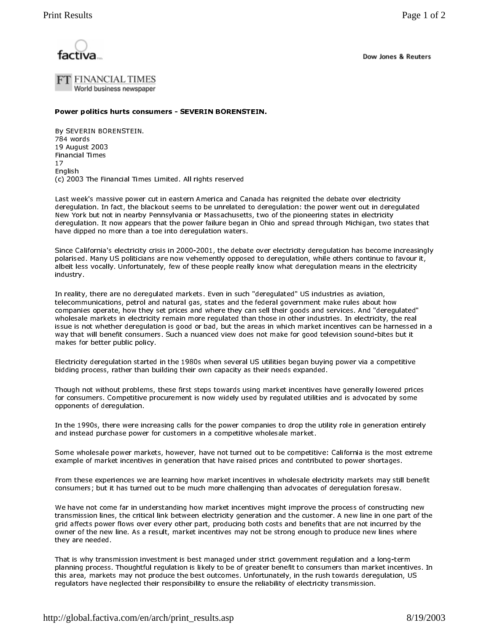

Dow Jones & Reuters

FT FINANCIAL TIMES World business newspaper

Power politics hurts consumers - SEVERIN BORENSTEIN.

By SEVERIN BORENSTEIN. 784 words 19 August 2003 **Financial Times**  $17$ Enalish (c) 2003 The Financial Times Limited. All rights reserved

Last week's massive power cut in eastern America and Canada has reignited the debate over electricity deregulation. In fact, the blackout seems to be unrelated to deregulation: the power went out in deregulated New York but not in nearby Pennsylvania or Massachusetts, two of the pioneering states in electricity deregulation. It now appears that the power failure began in Ohio and spread through Michigan, two states that have dipped no more than a toe into deregulation waters.

Since California's electricity crisis in 2000-2001, the debate over electricity deregulation has become increasingly polarised. Many US politicians are now vehemently opposed to deregulation, while others continue to favour it, albeit less vocally. Unfortunately, few of these people really know what deregulation means in the electricity industry.

In reality, there are no deregulated markets. Even in such "deregulated" US industries as aviation, telecommunications, petrol and natural gas, states and the federal government make rules about how companies operate, how they set prices and where they can sell their goods and services. And "deregulated" wholesale markets in electricity remain more requlated than those in other industries. In electricity, the real issue is not whether deregulation is good or bad, but the areas in which market incentives can be harnessed in a way that will benefit consumers. Such a nuanced view does not make for good television sound-bites but it makes for better public policy.

Electricity deregulation started in the 1980s when several US utilities began buying power via a competitive bidding process, rather than building their own capacity as their needs expanded.

Though not without problems, these first steps towards using market incentives have generally lowered prices for consumers. Competitive procurement is now widely used by regulated utilities and is advocated by some opponents of deregulation.

In the 1990s, there were increasing calls for the power companies to drop the utility role in generation entirely and instead purchase power for customers in a competitive wholesale market.

Some wholesale power markets, however, have not turned out to be competitive: California is the most extreme example of market incentives in generation that have raised prices and contributed to power shortages.

From these experiences we are learning how market incentives in wholesale electricity markets may still benefit consumers; but it has turned out to be much more challenging than advocates of deregulation foresaw.

We have not come far in understanding how market incentives might improve the process of constructing new transmission lines, the critical link between electricity generation and the customer. A new line in one part of the grid affects power flows over every other part, producing both costs and benefits that are not incurred by the owner of the new line. As a result, market incentives may not be strong enough to produce new lines where they are needed.

That is why transmission investment is best managed under strict government regulation and a long-term planning process. Thoughtful regulation is likely to be of greater benefit to consumers than market incentives. In this area, markets may not produce the best outcomes. Unfortunately, in the rush towards deregulation, US regulators have neglected their responsibility to ensure the reliability of electricity transmission.